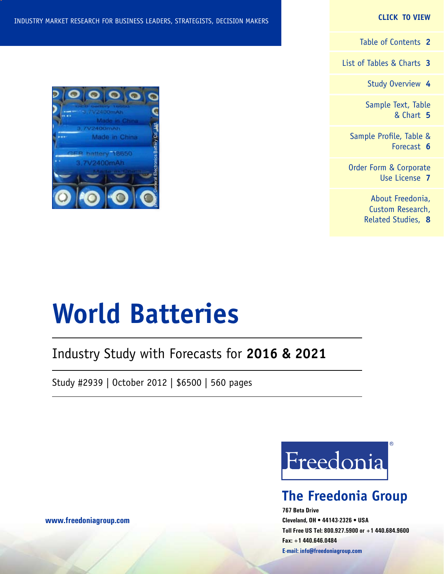**CLICK TO VIEW**

[Table of Contents](#page-1-0) **2**

[List of Tables & Charts](#page-2-0) **3**

[Study Overview](#page-3-0) **4**

[Sample Text, Table](#page-4-0) [& Chart](#page-4-0) **5**

[Sample Profile, Table &](#page-5-0) [Forecast](#page-5-0) **6**

[Order Form & Corporate](#page-6-0) [Use License](#page-6-0) **7**

> [About Freedonia,](#page-7-0) [Custom Research,](#page-7-0) [Related Studies,](#page-7-0) **8**

#### INDUSTRY MARKET RESEARCH FOR BUSINESS LEADERS, STRATEGISTS, DECISION MAKERS

### Industry Study with Forecasts for **2016 & 2021**

Study #2939 | October 2012 | \$6500 | 560 pages



### **The Freedonia Group**

**767 Beta Drive Cleveland, OH • 44143-2326 • USA Toll Free US Tel: 800.927.5900 or +1 440.684.9600 Fax: +1 440.646.0484 E-mail: [info@freedoniagroup.com](mailto:info@freedoniagroup.com)**



**[www.freedoniagroup.com](http://www.freedoniagroup.com/Home.aspx?ReferrerId=FM-Bro)**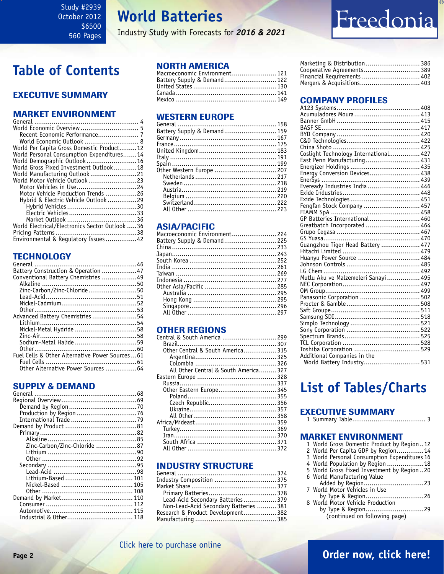## **World Batteries**

Industry Study with Forecasts for *2016 & 2021*

# Freedonia

## <span id="page-1-0"></span>**Table of Contents**

### Executive Summary

### Market EnvironmenT

| Recent Economic Performance 7                  |  |
|------------------------------------------------|--|
| World Economic Outlook  8                      |  |
| World Per Capita Gross Domestic Product12      |  |
| World Personal Consumption Expenditures14      |  |
| World Demographic Outlook 16                   |  |
| World Gross Fixed Investment Outlook18         |  |
| World Manufacturing Outlook 21                 |  |
| World Motor Vehicle Outlook 23                 |  |
| Motor Vehicles in Use 24                       |  |
| Motor Vehicle Production Trends 26             |  |
| Hybrid & Electric Vehicle Outlook 29           |  |
|                                                |  |
|                                                |  |
|                                                |  |
| World Electrical/Electronics Sector Outlook 36 |  |
|                                                |  |
| Environmental & Regulatory Issues42            |  |
|                                                |  |

### **TECHNOLOGY**

| Battery Construction & Operation 47            |  |
|------------------------------------------------|--|
| Conventional Battery Chemistries 49            |  |
|                                                |  |
| Zinc-Carbon/Zinc-Chloride50                    |  |
|                                                |  |
|                                                |  |
|                                                |  |
| Advanced Battery Chemistries 54                |  |
|                                                |  |
| Nickel-Metal Hydride 58                        |  |
|                                                |  |
| Sodium-Metal Halide 59                         |  |
|                                                |  |
| Fuel Cells & Other Alternative Power Sources61 |  |
|                                                |  |
| Other Alternative Power Sources  64            |  |
|                                                |  |

### SUPPLY & DEMAND

| Zinc-Carbon/Zinc-Chloride 87 |
|------------------------------|
|                              |
|                              |
|                              |
|                              |
|                              |
|                              |
|                              |
|                              |
|                              |
|                              |
|                              |
|                              |

### NORTH AMERICA

| Macroeconomic Environment 121 |  |
|-------------------------------|--|
| Battery Supply & Demand 122   |  |
|                               |  |
|                               |  |
|                               |  |

### WESTERN EUROPE

| Battery Supply & Demand 159 |  |
|-----------------------------|--|
|                             |  |
|                             |  |
|                             |  |
|                             |  |
|                             |  |
| 0ther Western Europe  207   |  |
|                             |  |
|                             |  |
|                             |  |
|                             |  |
|                             |  |
|                             |  |
|                             |  |

### ASIA/PACIFIC

| Macroeconomic Environment 224 |  |
|-------------------------------|--|
| Battery Supply & Demand 225   |  |
|                               |  |
|                               |  |
|                               |  |
|                               |  |
|                               |  |
|                               |  |
|                               |  |
|                               |  |
|                               |  |
|                               |  |
|                               |  |
|                               |  |

### OTHER REGIONS

| Central & South America  299          |  |
|---------------------------------------|--|
|                                       |  |
| Other Central & South America 315     |  |
|                                       |  |
|                                       |  |
| All Other Central & South America 327 |  |
|                                       |  |
|                                       |  |
| Other Eastern Europe 345              |  |
|                                       |  |
|                                       |  |
|                                       |  |
|                                       |  |
|                                       |  |
|                                       |  |
|                                       |  |
|                                       |  |
|                                       |  |
|                                       |  |

### INDUSTRY STRUCTURE

| Industry Composition  375              |  |
|----------------------------------------|--|
|                                        |  |
|                                        |  |
| Lead-Acid Secondary Batteries 379      |  |
| Non-Lead-Acid Secondary Batteries  381 |  |
| Research & Product Development 382     |  |
|                                        |  |
|                                        |  |

| Marketing & Distribution 386 |  |
|------------------------------|--|
| Cooperative Agreements 389   |  |
| Financial Requirements  402  |  |
| Mergers & Acquisitions 403   |  |

### Company Profiles

| Acumuladores Moura 413                |  |
|---------------------------------------|--|
|                                       |  |
|                                       |  |
|                                       |  |
|                                       |  |
|                                       |  |
| Coslight Technology International 427 |  |
| East Penn Manufacturing 431           |  |
|                                       |  |
|                                       |  |
|                                       |  |
| Eveready Industries India  446        |  |
|                                       |  |
|                                       |  |
| Fengfan Stock Company  457            |  |
|                                       |  |
| GP Batteries International 460        |  |
| Greatbatch Incorporated  464          |  |
|                                       |  |
|                                       |  |
| Guangzhou Tiger Head Battery  477     |  |
|                                       |  |
| Huanyu Power Source  484              |  |
|                                       |  |
|                                       |  |
|                                       |  |
|                                       |  |
| Panasonic Corporation  502            |  |
|                                       |  |
|                                       |  |
|                                       |  |
|                                       |  |
|                                       |  |
|                                       |  |
|                                       |  |
|                                       |  |
| Additional Companies in the           |  |
| World Battery Industry 531            |  |
|                                       |  |

### **List of Tables/Charts**

### Executive Summary

1 Summary Table...................................... 3

#### Market EnvironmenT

| 1 World Gross Domestic Product by Region12   |
|----------------------------------------------|
| 2 World Per Capita GDP by Region14           |
| 3 World Personal Consumption Expenditures 16 |
| 4 World Population by Region 18              |
| 5 World Gross Fixed Investment by Region 20  |
| 6 World Manufacturing Value                  |
|                                              |
| 7 World Motor Vehicles in Use                |
|                                              |
| 8 World Motor Vehicle Production             |
| hu Tung 0 Dogion<br>ົາດ                      |

 by Type & Region..............................29 (continued on following page)

[Click here to purchase online](http://www.freedoniagroup.com/DocumentDetails.aspx?Referrerid=FM-Bro&StudyID=2939)

### **Page 2 [Order now, click here!](#page-6-0)**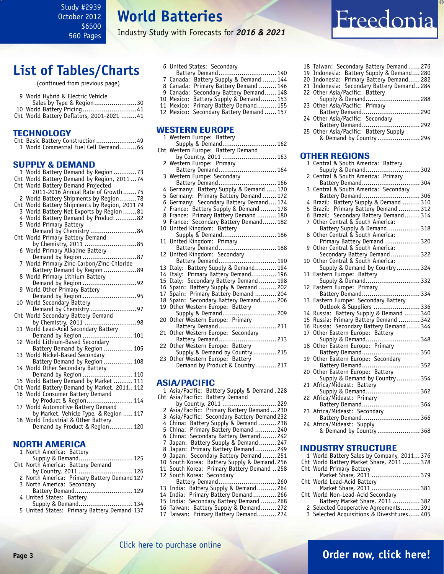<span id="page-2-0"></span>Study #2939 October 2012 \$6500 560 Pages

### **World Batteries**

Industry Study with Forecasts for *2016 & 2021*

### **List of Tables/Charts**

(continued from previous page)

| 9 World Hybrid & Electric Vehicle          |  |
|--------------------------------------------|--|
| Sales by Type & Region30                   |  |
| 10 World Battery Pricing41                 |  |
| Cht World Battery Deflators, 2001-2021  41 |  |

#### **TECHNOLOGY**

|       | Cht Basic Battery Construction49<br>1 World Commercial Fuel Cell Demand64                   |
|-------|---------------------------------------------------------------------------------------------|
|       |                                                                                             |
|       | <b>SUPPLY &amp; DEMAND</b>                                                                  |
|       | 1 World Battery Demand by Region 73                                                         |
|       | Cht World Battery Demand by Region, 2011  74                                                |
|       | Cht World Battery Demand Projected                                                          |
|       | 2011-2016 Annual Rate of Growth75                                                           |
| 2     | World Battery Shipments by Region78                                                         |
|       | Cht World Battery Shipments by Region, 2011 79                                              |
| 3     | World Battery Net Exports by Region 81                                                      |
| 5     | 4 World Battery Demand by Product82<br><b>World Primary Battery</b>                         |
|       | Demand by Chemistry 84                                                                      |
| Cht   | World Primary Battery Demand                                                                |
|       | by Chemistry, 2011 85                                                                       |
| 6     | World Primary Alkaline Battery                                                              |
|       | Demand by Region 87                                                                         |
| 7     | World Primary Zinc-Carbon/Zinc-Chloride                                                     |
|       | Battery Demand by Region 89                                                                 |
| 8     | World Primary Lithium Battery                                                               |
|       | Demand by Region 92                                                                         |
| g     | World Other Primary Battery                                                                 |
| 10    | Demand by Region 95<br>World Secondary Battery                                              |
|       | Demand by Chemistry 97                                                                      |
| Cht   | World Secondary Battery Demand                                                              |
|       |                                                                                             |
| 11    |                                                                                             |
|       | World Lead-Acid Secondary Battery<br>Demand by Region  101                                  |
| 12    | World Lithium-Based Secondary<br>Battery Demand by Region  105                              |
|       |                                                                                             |
| 13    | World Nickel-Based Secondary<br>лш міскеі-ваѕе́а Secondary<br>Battery Demand by Region  108 |
|       | 14 World Other Secondary Battery                                                            |
|       | Demand by Region  110                                                                       |
| 15    | World Battery Demand by Market  111                                                         |
|       | Cht World Battery Demand by Market, 2011 112                                                |
| 16    | World Consumer Battery Demand                                                               |
|       | by Product & Region 114                                                                     |
| 17    | World Automotive Battery Demand                                                             |
|       | by Market, Vehicle Type, & Region  117                                                      |
| 18    | World Industrial & Other Battery                                                            |
|       | Demand by Product & Region 120                                                              |
|       |                                                                                             |
|       | <b>NORTH AMERICA</b>                                                                        |
| $1\,$ | North America: Battery                                                                      |

| I NUILII AIIICHLA. DALLEIV                  |                       |  |
|---------------------------------------------|-----------------------|--|
|                                             | Supply & Demand 125   |  |
| Cht North America: Battery Demand           |                       |  |
|                                             | by Country, 2011  126 |  |
| 2 North America: Primary Battery Demand 127 |                       |  |
| 3 North America: Secondary                  |                       |  |
|                                             | Battery Demand 129    |  |
| 4 United States: Battery                    |                       |  |
|                                             | Supply & Demand 134   |  |
| 5 United States: Primary Battery Demand 137 |                       |  |
|                                             |                       |  |

- 6 United States: Secondary Battery Demand.............................. 140 7 Canada: Battery Supply & Demand ....... 144
	- 8 Canada: Primary Battery Demand ......... 146
- 9 Canada: Secondary Battery Demand...... 148
- 10 Mexico: Battery Supply & Demand........ 153
- 11 Mexico: Primary Battery Demand.......... 155 12 Mexico: Secondary Battery Demand ...... 157

|     | <b>WESTERN EUROPE</b>                                                              |
|-----|------------------------------------------------------------------------------------|
|     | 1 Western Europe: Battery                                                          |
|     | Supply & Demand 162                                                                |
| Cht | Western Europe: Battery Demand                                                     |
|     | by Country, 2011  163                                                              |
| 2   | Western Europe: Primary<br>Battery Demand 164                                      |
|     |                                                                                    |
| 3   |                                                                                    |
|     |                                                                                    |
| 4   | Germany: Battery Supply & Demand  170                                              |
| 5   | Germany: Primary Battery Demand  172                                               |
| 6   | Germany: Secondary Battery Demand 174                                              |
| 7   | France: Battery Supply & Demand  178<br>France: Primary Battery Demand  180        |
| 8   |                                                                                    |
| 9   | France: Secondary Battery Demand 182                                               |
| 10  |                                                                                    |
|     | United Kingdom: Battery<br>Supply & Demand 186                                     |
| 11  |                                                                                    |
|     |                                                                                    |
| 12  | United Kingdom: Secondary                                                          |
|     |                                                                                    |
| 13  | Italy: Battery Supply & Demand 194                                                 |
| 14  | Italy: Primary Battery Demand 196                                                  |
| 15  | Italy: Secondary Battery Demand  198                                               |
| 16  | Spain: Battery Supply & Demand  202                                                |
| 17  | Spain: Primary Battery Demand  204<br>Spain: Secondary Battery Demand  206         |
| 18  |                                                                                    |
| 19  | Other Western Europe: Battery                                                      |
|     | Supply & Demand 209                                                                |
| 20  | Other Western Europe: Primary                                                      |
|     | Battery Demand 211                                                                 |
| 21  | Other Western Europe: Secondary                                                    |
|     | Battery Demand 213                                                                 |
| 22  | Other Western Europe: Battery<br>Supply & Demand by Country 215                    |
|     |                                                                                    |
| 23  | Other Western Europe: Battery<br>Demand by Product & Country 217                   |
|     |                                                                                    |
|     |                                                                                    |
|     | ASIA/PACIFIC                                                                       |
|     | 1 Asia/Pacific: Battery Supply & Demand. 228                                       |
|     | Cht Asia/Pacific: Battery Demand                                                   |
|     | by Country, 2011  229                                                              |
| 2   |                                                                                    |
| 3   | Asia/Pacific: Primary Battery Demand230<br>Asia/Pacific: Primary Battery Demand230 |
| 4   | China: Battery Supply & Demand  238                                                |
| 5   | China: Primary Battery Demand  240                                                 |
| 6   | China: Secondary Battery Demand 242                                                |
| 7   | Japan: Battery Supply & Demand 247                                                 |
| 8   | Japan: Primary Battery Demand 249                                                  |
| 9   | Japan: Secondary Battery Demand  251                                               |
| 10  | South Korea: Battery Supply & Demand. 256                                          |
| 11  | South Korea: Primary Battery Demand  258                                           |
|     |                                                                                    |

- 12 South Korea: Secondary Battery Demand.............................. 260 13 India: Battery Supply & Demand.......... 264
- 14 India: Primary Battery Demand............ 266 15 India: Secondary Battery Demand ........ 268
- 16 Taiwan: Battery Supply & Demand........ 272
- 17 Taiwan: Primary Battery Demand.......... 274

|  | <b>Freedoni</b> a |  |  |  |  |
|--|-------------------|--|--|--|--|
|  |                   |  |  |  |  |

- 18 Taiwan: Secondary Battery Demand ...... 276
- 19 Indonesia: Battery Supply & Demand.... 280
- 20 Indonesia: Primary Battery Demand...... 282 21 Indonesia: Secondary Battery Demand .. 284
- 22 Other Asia/Pacific: Battery
- Supply & Demand............................ 288 23 Other Asia/Pacific: Primary Battery Demand.............................. 290
- 24 Other Asia/Pacific: Secondary Battery Demand.............................. 292
- 25 Other Asia/Pacific: Battery Supply & Demand by Country ...................... 294

#### OTHER REGIONS

|                       | 1 Central & South America: Battery<br>Supply & Demand 302                   |  |
|-----------------------|-----------------------------------------------------------------------------|--|
|                       | 2 Central & South America: Primary                                          |  |
|                       | Battery Demand 304                                                          |  |
| 3                     | Central & South America: Secondary                                          |  |
|                       | Battery Demand 306                                                          |  |
| 4                     | Brazil: Battery Supply & Demand  310                                        |  |
| 5                     | Brazil: Primary Battery Demand  312                                         |  |
| 6<br>7                | Brazil: Secondary Battery Demand 314<br>Other Central & South America:      |  |
|                       | Battery Supply & Demand 318                                                 |  |
| 8                     | Other Central & South America:                                              |  |
|                       | Primary Battery Demand  320                                                 |  |
|                       | 9 Other Central & South America:                                            |  |
|                       | Secondary Battery Demand  322                                               |  |
| 10                    | Other Central & South America:                                              |  |
| 11                    | Supply & Demand by Country  324                                             |  |
|                       | Eastern Europe: Battery<br>Supply & Demand332                               |  |
| 12                    | Eastern Europe: Primary                                                     |  |
|                       | Battery Demand 334                                                          |  |
| 13                    | Eastern Europe: Secondary Battery                                           |  |
|                       | Outlook & Suppliers  336                                                    |  |
| 14<br>15 <sup>1</sup> | Russia: Battery Supply & Demand  340                                        |  |
| 16                    | Russia: Primary Battery Demand  342<br>Russia: Secondary Battery Demand 344 |  |
| 17                    |                                                                             |  |
|                       | Other Eastern Europe: Battery<br>Supply & Demand 348                        |  |
| 18                    | Other Eastern Europe: Primary<br>Battery Demand350                          |  |
|                       |                                                                             |  |
| 19                    | Other Eastern Europe: Secondary<br>Battery Demand352                        |  |
| 20                    | Other Eastern Europe: Battery                                               |  |
|                       | Supply & Demand by Country 354                                              |  |
| 21                    |                                                                             |  |
|                       | Africa/Mideast: Battery<br>Supply & Demand362                               |  |
| 22.                   | Africa/Mideast: Primary<br>Battery Demand 364                               |  |
|                       |                                                                             |  |
|                       |                                                                             |  |
|                       | 24 Africa/Mideast: Supply                                                   |  |
|                       | ca/mideast.   здрргу<br>& Demand by Country 368                             |  |
|                       |                                                                             |  |

#### INDUSTRY STRUCTURE

| 1 World Battery Sales by Company, 2011 376 |  |
|--------------------------------------------|--|
| Cht World Battery Market Share, 2011 378   |  |
| Cht World Primary Battery                  |  |
| Market Share, 2011  379                    |  |
| Cht World Lead-Acid Battery                |  |
| Market Share, 2011  381                    |  |
| Cht World Non-Lead-Acid Secondary          |  |
| Battery Market Share, 2011  382            |  |
| 2 Selected Cooperative Agreements 391      |  |
| 3 Selected Acquisitions & Divestitures 405 |  |

### **Page 3 [Order now, click here!](#page-6-0)**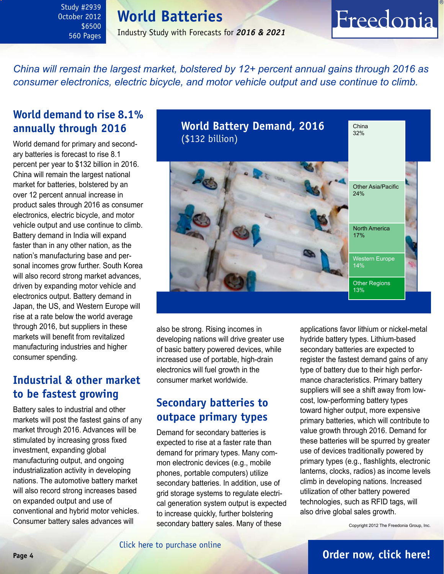<span id="page-3-0"></span>Study #2939 October 2012 \$6500 560 Pages

### **World Batteries**

Industry Study with Forecasts for *2016 & 2021*

### *China will remain the largest market, bolstered by 12+ percent annual gains through 2016 as consumer electronics, electric bicycle, and motor vehicle output and use continue to climb.*

### **World demand to rise 8.1% annually through 2016**

World demand for primary and secondary batteries is forecast to rise 8.1 percent per year to \$132 billion in 2016. China will remain the largest national market for batteries, bolstered by an over 12 percent annual increase in product sales through 2016 as consumer electronics, electric bicycle, and motor vehicle output and use continue to climb. Battery demand in India will expand faster than in any other nation, as the nation's manufacturing base and personal incomes grow further. South Korea will also record strong market advances, driven by expanding motor vehicle and electronics output. Battery demand in Japan, the US, and Western Europe will rise at a rate below the world average through 2016, but suppliers in these markets will benefit from revitalized manufacturing industries and higher consumer spending.

### **Industrial & other market to be fastest growing**

Battery sales to industrial and other markets will post the fastest gains of any market through 2016. Advances will be stimulated by increasing gross fixed investment, expanding global manufacturing output, and ongoing industrialization activity in developing nations. The automotive battery market will also record strong increases based on expanded output and use of conventional and hybrid motor vehicles. Consumer battery sales advances will

**World Battery Demand, 2016** (\$132 billion) China 32% Western Europe 14% Other Asia/Pacific 24% North America 17% Other Regions 13%

also be strong. Rising incomes in developing nations will drive greater use of basic battery powered devices, while increased use of portable, high-drain electronics will fuel growth in the consumer market worldwide.

### **Secondary batteries to outpace primary types**

Demand for secondary batteries is expected to rise at a faster rate than demand for primary types. Many common electronic devices (e.g., mobile phones, portable computers) utilize secondary batteries. In addition, use of grid storage systems to regulate electrical generation system output is expected to increase quickly, further bolstering secondary battery sales. Many of these

applications favor lithium or nickel-metal hydride battery types. Lithium-based secondary batteries are expected to register the fastest demand gains of any type of battery due to their high performance characteristics. Primary battery suppliers will see a shift away from lowcost, low-performing battery types toward higher output, more expensive primary batteries, which will contribute to value growth through 2016. Demand for these batteries will be spurred by greater use of devices traditionally powered by primary types (e.g., flashlights, electronic lanterns, clocks, radios) as income levels climb in developing nations. Increased utilization of other battery powered technologies, such as RFID tags, will also drive global sales growth.

Freedonia

Copyright 2012 The Freedonia Group, Inc.

### **Page 4 [Order now, click here!](#page-6-0)**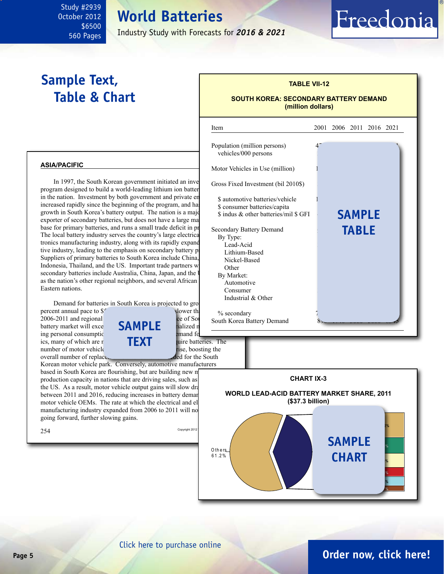# **World Batteries**

Industry Study with Forecasts for *2016 & 2021*

i

### **Sample Text, Table & Chart**

<span id="page-4-0"></span>Study #2939 October 2012

> \$6500 560 Pages

### **SOUTH KOREA: SECONDARY BATTERY DEMAND**

Freedonia

**(million dollars)**

**TABLE VII-12**

### Item 2001 2006 2011 2016 2021 Population (million persons) vehicles/000 persons Motor Vehicles in Use (million) Gross Fixed Investment (bil 2010\$) \$ automotive batteries/vehicle \$ consumer batteries/capita \$ indus & other batteries/mil \$ GFI Secondary Battery Demand By Type: Lead-Acid Lithium-Based Nickel-Based Other 40 75 155 230 315 By Market: Automotive Consumer 340 910 3000 3000 3000 4605 910 3000 3000 4605 910 3000 4605 910 3000 4605 910 3000 4605 910 3000 460 Industrial & Other % secondary South Korea Battery Demand **sample table**

#### **asia/pacific**

In 1997, the South Korean government initiated an investment program designed to build a world-leading lithium ion batter in the nation. Investment by both government and private en increased rapidly since the beginning of the program, and has growth in South Korea's battery output. The nation is a major exporter of secondary batteries, but does not have a large ma base for primary batteries, and runs a small trade deficit in pr The local battery industry serves the country's large electrical tronics manufacturing industry, along with its rapidly expand tive industry, leading to the emphasis on secondary battery production. Suppliers of primary batteries to South Korea include China, Indonesia, Thailand, and the US. Important trade partners with regard to Other secondary batteries include Australia, China, Japan, and the U as the nation's other regional neighbors, and several African Eastern nations.

Demand for batteries in South Korea is projected to grow at a 9.1 and a 9.1 and 19.1 and 19.1 and 19.1 and 19.1 and 19.1 and 19.1 and 19.1 and 19.1 and 19.1 and 19.1 and 19.1 and 19.1 and 19.1 and 19.1 and 19.1 and 19.1 an

percent annual pace to  $f$ 2006-2011 and regional growth rates of South rates, the performance of South rates, the performance of South Korea and Romance of South Romance of South Korea and Romance of South Korea and Romance of South Romance of Sou battery market will exceed  $SAMPLE$  halized r<br>ing personal consumptic ing personal consumptic<br>ics, many of which are  $\bf{TFXT}$  wire batteries. The ics, many of which are **manufactured locally and repulse the manufacture of motor vehicle** require batteries. The manufactured require batteries. The manufactured require batteries. The manufactured require batteries. The number of motor vehicle<br>overall number of replace. overall number of replace



Korean motor vehicle park. Conversely, automotive manufacturers based in South Korea are flourishing, but are building new m production capacity in nations that are driving sales, such as the US. As a result, motor vehicle output gains will slow dra between 2011 and 2016, reducing increases in battery deman motor vehicle OEMs. The rate at which the electrical and el manufacturing industry expanded from 2006 to 2011 will no going forward, further slowing gains.





### **Page 5 [Order now, click here!](#page-6-0)**

#### [Click here to purchase online](http://www.freedoniagroup.com/DocumentDetails.aspx?Referrerid=FM-Bro&StudyID=2939)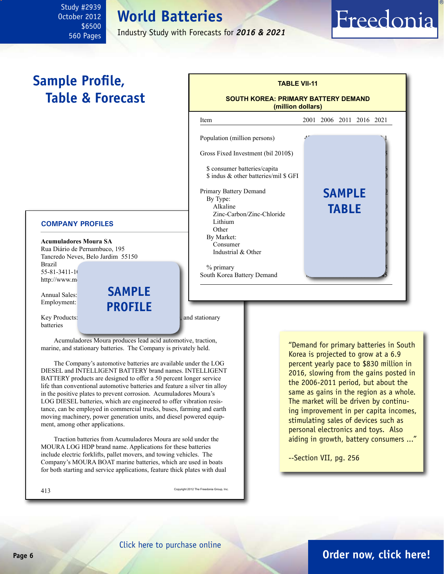### <span id="page-5-0"></span>Study #2939 October 2012 \$6500 560 Pages

## **World Batteries**

Industry Study with Forecasts for *2016 & 2021*

### **Sample Profile, Table & Forecast**

### **TABLE VII-11 SOUTH KOREA: PRIMARY BATTERY DEMAND (million dollars)** Item 2001 2006 2011 2016 2021 Population (million persons) Gross Fixed Investment (bil 2010\$) \$ consumer batteries/capita \$ indus & other batteries/mil \$ GFI Primary Battery Demand By Type: Alkaline 130 195 325 465 670 **table**Zinc-Carbon/Zinc-Chloride Lithium 15 35 90 175 90 175 90 175 90 175 90 175 90 175 90 175 90 175 90 175 90 175 90 175 90 175 90 175 90 17 Other 50 60 85 90 90 By Market: Consumer Industrial  $& Other$ % primary South Korea Battery Demand **sample**

#### **COMPANY PROFILES**

**Acumuladores Moura SA** Rua Diário de Pernambuco, 195 Tancredo Neves, Belo Jardim 55150 Brazil 55-81-3411-10

http://www.mo

Annual Sales: Employment:

Key Products: lead action and acid and stationary batteries

Acumuladores Moura produces lead acid automotive, traction, marine, and stationary batteries. The Company is privately held.

**sample**

**profile**

The Company's automotive batteries are available under the LOG DIESEL and INTELLIGENT BATTERY brand names. INTELLIGENT BATTERY products are designed to offer a 50 percent longer service life than conventional automotive batteries and feature a silver tin alloy in the positive plates to prevent corrosion. Acumuladores Moura's LOG DIESEL batteries, which are engineered to offer vibration resistance, can be employed in commercial trucks, buses, farming and earth moving machinery, power generation units, and diesel powered equipment, among other applications.

Traction batteries from Acumuladores Moura are sold under the MOURA LOG HDP brand name. Applications for these batteries include electric forklifts, pallet movers, and towing vehicles. The Company's MOURA BOAT marine batteries, which are used in boats for both starting and service applications, feature thick plates with dual

413 Copyright 2012 The Freedonia Group, Inc.

"Demand for primary batteries in South Korea is projected to grow at a 6.9 percent yearly pace to \$830 million in 2016, slowing from the gains posted in the 2006-2011 period, but about the same as gains in the region as a whole. The market will be driven by continuing improvement in per capita incomes, stimulating sales of devices such as personal electronics and toys. Also aiding in growth, battery consumers ..."

Freedonia

--Section VII, pg. 256

### **Page 6 [Order now, click here!](#page-6-0)**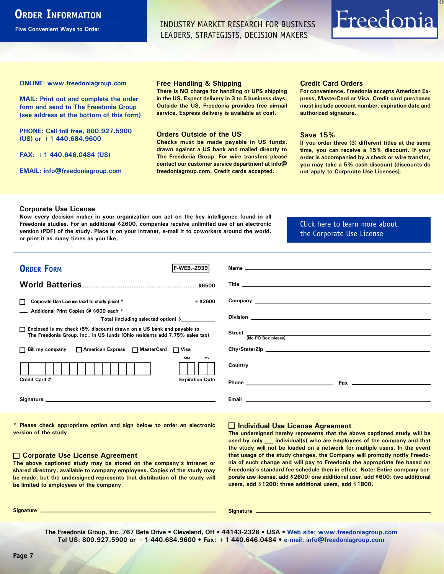### <span id="page-6-0"></span>**ORDER INFORMATION**

**Five Convenient Ways to Order**

INDUSTRY MARKET RESEARCH FOR BUSINESS LEADERS, STRATEGISTS, DECISION MAKERS

# Freedonia

**ONLINE: [www.freedoniagroup.com](http://www.freedoniagroup.com/DocumentDetails.aspx?Referrerid=FM-Bro&StudyID=2939)**

**MAIL: Print out and complete the order form and send to The Freedonia Group (see address at the bottom of this form)**

**PHONE: Call toll free, 800.927.5900 (US) or +1 440.684.9600**

**FAX: +1 440.646.0484 (US)**

**EMAIL: [info@freedoniagroup.com](mailto:info@freedoniagroup.com)**

#### **Free Handling & Shipping**

**There is NO charge for handling or UPS shipping in the US. Expect delivery in 3 to 5 business days. Outside the US, Freedonia provides free airmail service. Express delivery is available at cost.**

#### **Orders Outside of the US**

**Checks must be made payable in US funds, drawn against a US bank and mailed directly to The Freedonia Group. For wire transfers please contact our customer service department at info@ freedoniagroup.com. Credit cards accepted.**

#### **Credit Card Orders**

**For convenience, Freedonia accepts American Express, MasterCard or Visa. Credit card purchases must include account number, expiration date and authorized signature.**

#### **Save 15%**

**If you order three (3) different titles at the same time, you can receive a 15% discount. If your order is accompanied by a check or wire transfer, you may take a 5% cash discount (discounts do not apply to Corporate Use Licenses).**

#### **Corporate Use License**

**Now every decision maker in your organization can act on the key intelligence found in all Freedonia studies. For an additional \$2600, companies receive unlimited use of an electronic version (PDF) of the study. Place it on your intranet, e-mail it to coworkers around the world, or print it as many times as you like,** 

### [Click here to learn more about](http://www.freedoniagroup.com/pdf/FreedoniaCULBro.pdf)  [the Corporate Use License](http://www.freedoniagroup.com/pdf/FreedoniaCULBro.pdf)

| <b>ORDER FORM</b><br><b>F-WEB.-2939</b>                                                                                                               |                                                                                                                                                                                                                                     |
|-------------------------------------------------------------------------------------------------------------------------------------------------------|-------------------------------------------------------------------------------------------------------------------------------------------------------------------------------------------------------------------------------------|
|                                                                                                                                                       |                                                                                                                                                                                                                                     |
|                                                                                                                                                       |                                                                                                                                                                                                                                     |
|                                                                                                                                                       |                                                                                                                                                                                                                                     |
| $+$ \$2600<br>Corporate Use License (add to study price) *                                                                                            |                                                                                                                                                                                                                                     |
| Additional Print Copies @ \$600 each *                                                                                                                |                                                                                                                                                                                                                                     |
| Total (including selected option) \$___________                                                                                                       |                                                                                                                                                                                                                                     |
| □ Enclosed is my check (5% discount) drawn on a US bank and payable to<br>The Freedonia Group, Inc., in US funds (Ohio residents add 7.75% sales tax) | Street $\frac{1}{(No PO Box please)}$                                                                                                                                                                                               |
|                                                                                                                                                       |                                                                                                                                                                                                                                     |
| □ Bill my company □ American Express □ MasterCard □ Visa                                                                                              |                                                                                                                                                                                                                                     |
| <b>MM</b><br>YY                                                                                                                                       |                                                                                                                                                                                                                                     |
|                                                                                                                                                       | Country <u>example</u> and the country of the country of the country of the country of the country of the country of the country of the country of the country of the country of the country of the country of the country of the c |
| Credit Card #<br><b>Expiration Date</b>                                                                                                               |                                                                                                                                                                                                                                     |
|                                                                                                                                                       |                                                                                                                                                                                                                                     |
|                                                                                                                                                       |                                                                                                                                                                                                                                     |
|                                                                                                                                                       |                                                                                                                                                                                                                                     |

**\* Please check appropriate option and sign below to order an electronic version of the study.**

#### **Corporate Use License Agreement**

**The above captioned study may be stored on the company's intranet or shared directory, available to company employees. Copies of the study may be made, but the undersigned represents that distribution of the study will be limited to employees of the company.**

#### **Individual Use License Agreement**

**The undersigned hereby represents that the above captioned study will be used by only \_\_\_ individual(s) who are employees of the company and that the study will not be loaded on a network for multiple users. In the event that usage of the study changes, the Company will promptly notify Freedonia of such change and will pay to Freedonia the appropriate fee based on Freedonia's standard fee schedule then in effect. Note: Entire company corporate use license, add \$2600; one additional user, add \$600; two additional users, add \$1200; three additional users, add \$1800.**

**Signature Signature**

**The Freedonia Group, Inc. 767 Beta Drive • Cleveland, OH • 44143-2326 • USA • [Web site: www.freedoniagroup.com](http://www.freedoniagroup.com/Home.aspx?ReferrerId=FM-Bro) Tel US: 800.927.5900 or +1 440.684.9600 • Fax: +1 440.646.0484 • [e-mail: info@freedoniagroup.com](mailto:info@freedoniagroup.com)**